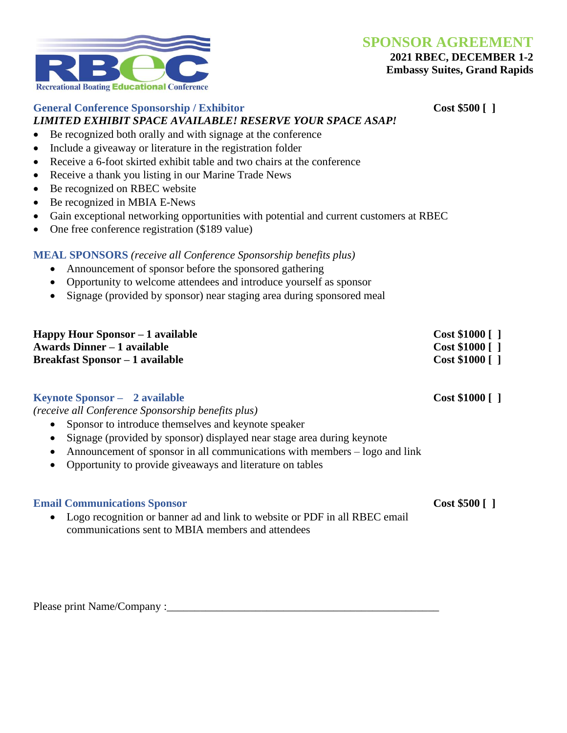**SPONSOR AGREEMENT**

## **2021 RBEC, DECEMBER 1-2**

**Embassy Suites, Grand Rapids**



# **General Conference Sponsorship / Exhibitor Cost \$500 [ ]**

## *LIMITED EXHIBIT SPACE AVAILABLE! RESERVE YOUR SPACE ASAP!*

- Be recognized both orally and with signage at the conference
- Include a giveaway or literature in the registration folder
- Receive a 6-foot skirted exhibit table and two chairs at the conference
- Receive a thank you listing in our Marine Trade News
- Be recognized on RBEC website
- Be recognized in MBIA E-News
- Gain exceptional networking opportunities with potential and current customers at RBEC
- One free conference registration (\$189 value)

### **MEAL SPONSORS** *(receive all Conference Sponsorship benefits plus)*

- Announcement of sponsor before the sponsored gathering
- Opportunity to welcome attendees and introduce yourself as sponsor
- Signage (provided by sponsor) near staging area during sponsored meal

| Happy Hour Sponsor – 1 available       | $Cost $1000$ [ ] |
|----------------------------------------|------------------|
| Awards Dinner – 1 available            | $Cost $1000$ [ ] |
| <b>Breakfast Sponsor – 1 available</b> | $Cost $1000$ [ ] |

### **Keynote Sponsor – 2 available Cost \$1000 [ ]**

*(receive all Conference Sponsorship benefits plus)*

- Sponsor to introduce themselves and keynote speaker
- Signage (provided by sponsor) displayed near stage area during keynote
- Announcement of sponsor in all communications with members logo and link
- Opportunity to provide giveaways and literature on tables

#### **Email Communications Sponsor Cost \$500 [ ]**

• Logo recognition or banner ad and link to website or PDF in all RBEC email communications sent to MBIA members and attendees

Please print Name/Company :\_\_\_\_\_\_\_\_\_\_\_\_\_\_\_\_\_\_\_\_\_\_\_\_\_\_\_\_\_\_\_\_\_\_\_\_\_\_\_\_\_\_\_\_\_\_\_\_\_